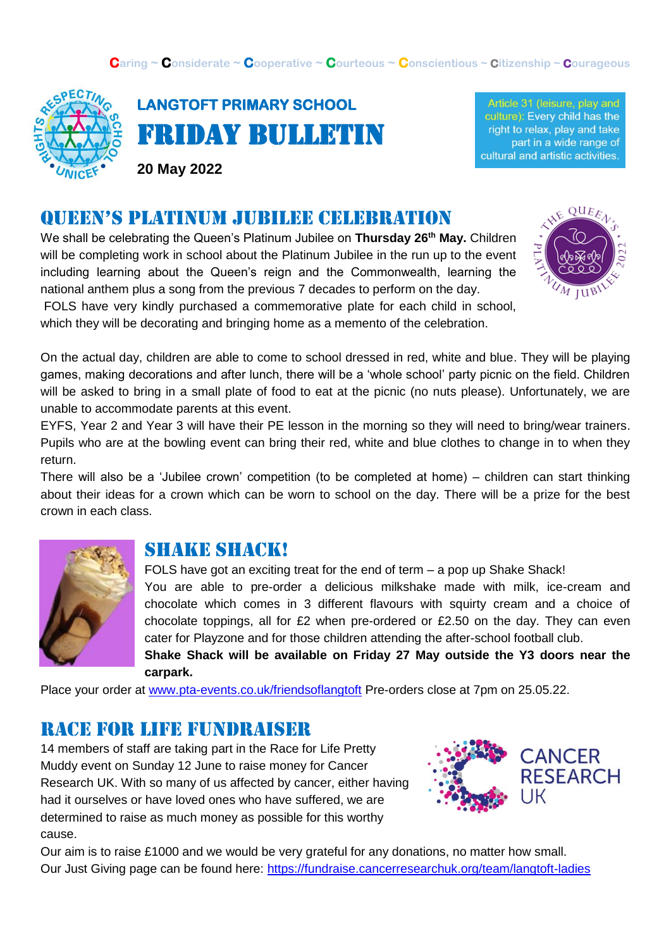

**LANGTOFT PRIMARY SCHOOL**  Friday Bulletin

**20 May 2022**

Article 31 (leisure, play and culture): Every child has the right to relax, play and take part in a wide range of cultural and artistic activities.

### Queen's platinum Jubilee celebration

We shall be celebrating the Queen's Platinum Jubilee on **Thursday 26th May.** Children will be completing work in school about the Platinum Jubilee in the run up to the event including learning about the Queen's reign and the Commonwealth, learning the national anthem plus a song from the previous 7 decades to perform on the day. FOLS have very kindly purchased a commemorative plate for each child in school,



which they will be decorating and bringing home as a memento of the celebration.

On the actual day, children are able to come to school dressed in red, white and blue. They will be playing games, making decorations and after lunch, there will be a 'whole school' party picnic on the field. Children will be asked to bring in a small plate of food to eat at the picnic (no nuts please). Unfortunately, we are unable to accommodate parents at this event.

EYFS, Year 2 and Year 3 will have their PE lesson in the morning so they will need to bring/wear trainers. Pupils who are at the bowling event can bring their red, white and blue clothes to change in to when they return.

There will also be a 'Jubilee crown' competition (to be completed at home) – children can start thinking about their ideas for a crown which can be worn to school on the day. There will be a prize for the best crown in each class.



#### Shake shack!

FOLS have got an exciting treat for the end of term – a pop up Shake Shack! You are able to pre-order a delicious milkshake made with milk, ice-cream and chocolate which comes in 3 different flavours with squirty cream and a choice of chocolate toppings, all for £2 when pre-ordered or £2.50 on the day. They can even cater for Playzone and for those children attending the after-school football club. **Shake Shack will be available on Friday 27 May outside the Y3 doors near the** 

Place your order at [www.pta-events.co.uk/friendsoflangtoft](http://www.pta-events.co.uk/friendsoflangtoft) Pre-orders close at 7pm on 25.05.22.

#### Race for life fundraiser

**carpark.** 

14 members of staff are taking part in the Race for Life Pretty Muddy event on Sunday 12 June to raise money for Cancer Research UK. With so many of us affected by cancer, either having had it ourselves or have loved ones who have suffered, we are determined to raise as much money as possible for this worthy cause.



Our aim is to raise £1000 and we would be very grateful for any donations, no matter how small. Our Just Giving page can be found here:<https://fundraise.cancerresearchuk.org/team/langtoft-ladies>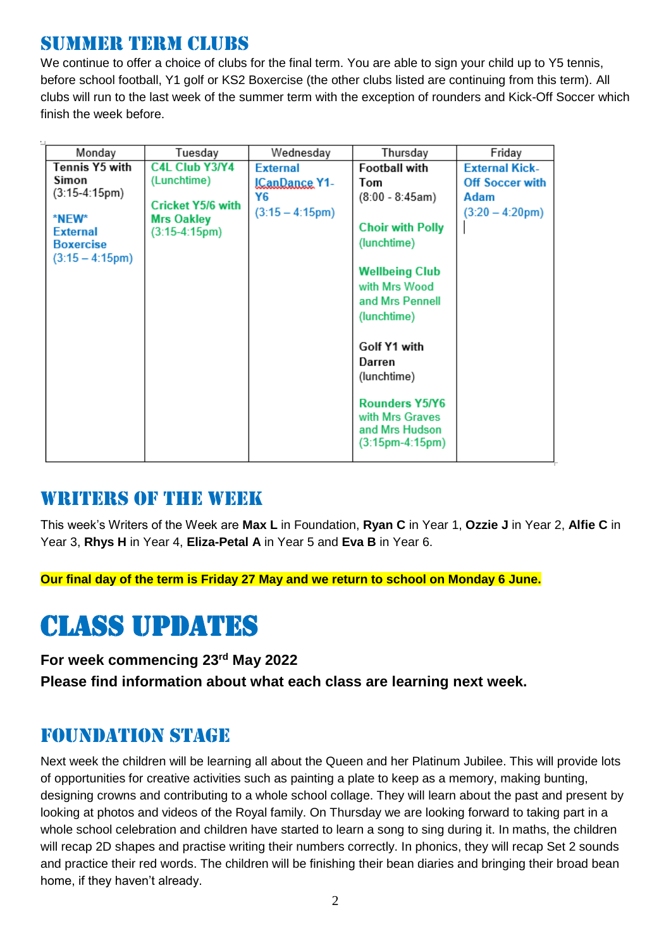### SUMMER TERM CLUBS

We continue to offer a choice of clubs for the final term. You are able to sign your child up to Y5 tennis, before school football, Y1 golf or KS2 Boxercise (the other clubs listed are continuing from this term). All clubs will run to the last week of the summer term with the exception of rounders and Kick-Off Soccer which finish the week before.

| Monday            | Tuesday                  | Wednesday            | Thursday                          | Friday                    |
|-------------------|--------------------------|----------------------|-----------------------------------|---------------------------|
| Tennis Y5 with    | <b>C4L Club Y3/Y4</b>    | <b>External</b>      | <b>Football with</b>              | <b>External Kick-</b>     |
| Simon             | (Lunchtime)              | <b>ICanDance Y1-</b> | Tom                               | <b>Off Soccer with</b>    |
| $(3:15-4:15pm)$   | <b>Cricket Y5/6 with</b> | Y6                   | $(8:00 - 8:45am)$                 | Adam                      |
| *NEW*             | <b>Mrs Oakley</b>        | $(3:15 - 4:15pm)$    |                                   | $(3:20 - 4:20 \text{pm})$ |
| <b>External</b>   | (3:15-4:15pm)            |                      | <b>Choir with Polly</b>           |                           |
| <b>Boxercise</b>  |                          |                      | (lunchtime)                       |                           |
| $(3:15 - 4:15pm)$ |                          |                      |                                   |                           |
|                   |                          |                      | <b>Wellbeing Club</b>             |                           |
|                   |                          |                      | with Mrs Wood                     |                           |
|                   |                          |                      | and Mrs Pennell                   |                           |
|                   |                          |                      | (lunchtime)                       |                           |
|                   |                          |                      |                                   |                           |
|                   |                          |                      | Golf Y1 with                      |                           |
|                   |                          |                      | Darren                            |                           |
|                   |                          |                      | (lunchtime)                       |                           |
|                   |                          |                      |                                   |                           |
|                   |                          |                      | <b>Rounders Y5/Y6</b>             |                           |
|                   |                          |                      | with Mrs Graves<br>and Mrs Hudson |                           |
|                   |                          |                      | (3:15pm-4:15pm)                   |                           |
|                   |                          |                      |                                   |                           |

### WRITERS OF THE WEEK

This week's Writers of the Week are **Max L** in Foundation, **Ryan C** in Year 1, **Ozzie J** in Year 2, **Alfie C** in Year 3, **Rhys H** in Year 4, **Eliza-Petal A** in Year 5 and **Eva B** in Year 6.

**Our final day of the term is Friday 27 May and we return to school on Monday 6 June.**

# Class updates

**For week commencing 23rd May 2022**

**Please find information about what each class are learning next week.** 

### Foundation stage

Next week the children will be learning all about the Queen and her Platinum Jubilee. This will provide lots of opportunities for creative activities such as painting a plate to keep as a memory, making bunting, designing crowns and contributing to a whole school collage. They will learn about the past and present by looking at photos and videos of the Royal family. On Thursday we are looking forward to taking part in a whole school celebration and children have started to learn a song to sing during it. In maths, the children will recap 2D shapes and practise writing their numbers correctly. In phonics, they will recap Set 2 sounds and practice their red words. The children will be finishing their bean diaries and bringing their broad bean home, if they haven't already.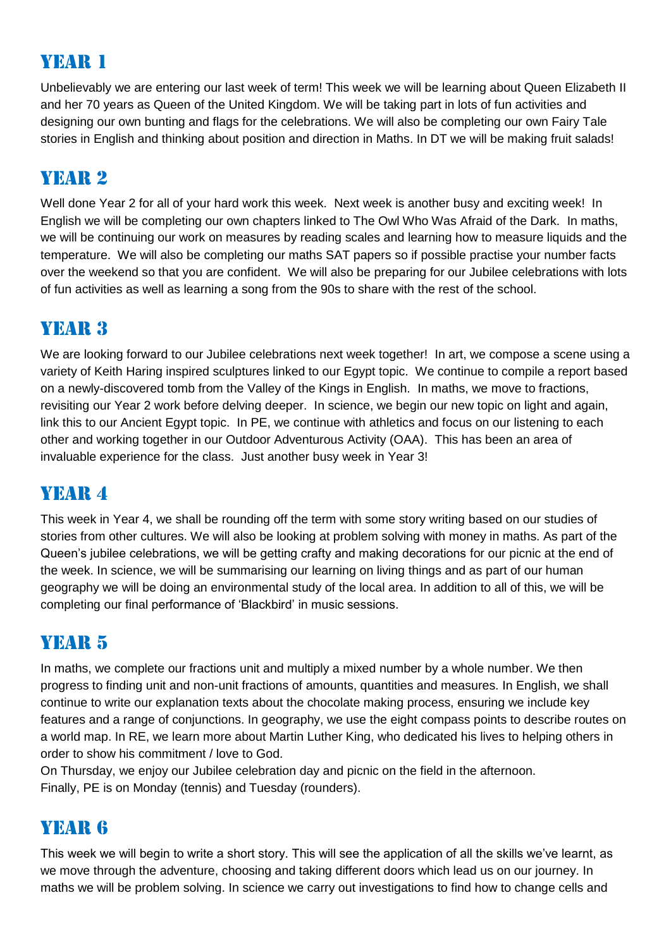# Year 1

Unbelievably we are entering our last week of term! This week we will be learning about Queen Elizabeth II and her 70 years as Queen of the United Kingdom. We will be taking part in lots of fun activities and designing our own bunting and flags for the celebrations. We will also be completing our own Fairy Tale stories in English and thinking about position and direction in Maths. In DT we will be making fruit salads!

# Year 2

Well done Year 2 for all of your hard work this week. Next week is another busy and exciting week! In English we will be completing our own chapters linked to The Owl Who Was Afraid of the Dark. In maths, we will be continuing our work on measures by reading scales and learning how to measure liquids and the temperature. We will also be completing our maths SAT papers so if possible practise your number facts over the weekend so that you are confident. We will also be preparing for our Jubilee celebrations with lots of fun activities as well as learning a song from the 90s to share with the rest of the school.

### YEAR 3

We are looking forward to our Jubilee celebrations next week together! In art, we compose a scene using a variety of Keith Haring inspired sculptures linked to our Egypt topic. We continue to compile a report based on a newly-discovered tomb from the Valley of the Kings in English. In maths, we move to fractions, revisiting our Year 2 work before delving deeper. In science, we begin our new topic on light and again, link this to our Ancient Egypt topic. In PE, we continue with athletics and focus on our listening to each other and working together in our Outdoor Adventurous Activity (OAA). This has been an area of invaluable experience for the class. Just another busy week in Year 3!

## YEAR 4

This week in Year 4, we shall be rounding off the term with some story writing based on our studies of stories from other cultures. We will also be looking at problem solving with money in maths. As part of the Queen's jubilee celebrations, we will be getting crafty and making decorations for our picnic at the end of the week. In science, we will be summarising our learning on living things and as part of our human geography we will be doing an environmental study of the local area. In addition to all of this, we will be completing our final performance of 'Blackbird' in music sessions.

## YEAR 5

In maths, we complete our fractions unit and multiply a mixed number by a whole number. We then progress to finding unit and non-unit fractions of amounts, quantities and measures. In English, we shall continue to write our explanation texts about the chocolate making process, ensuring we include key features and a range of conjunctions. In geography, we use the eight compass points to describe routes on a world map. In RE, we learn more about Martin Luther King, who dedicated his lives to helping others in order to show his commitment / love to God.

On Thursday, we enjoy our Jubilee celebration day and picnic on the field in the afternoon. Finally, PE is on Monday (tennis) and Tuesday (rounders).

### Year 6

This week we will begin to write a short story. This will see the application of all the skills we've learnt, as we move through the adventure, choosing and taking different doors which lead us on our journey. In maths we will be problem solving. In science we carry out investigations to find how to change cells and